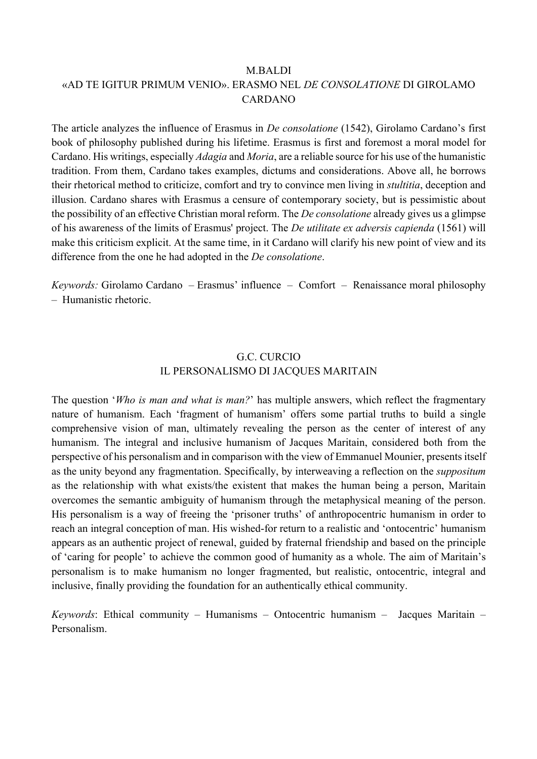#### M.BALDI

## «AD TE IGITUR PRIMUM VENIO». ERASMO NEL *DE CONSOLATIONE* DI GIROLAMO CARDANO

The article analyzes the influence of Erasmus in *De consolatione* (1542), Girolamo Cardano's first book of philosophy published during his lifetime. Erasmus is first and foremost a moral model for Cardano. His writings, especially *Adagia* and *Moria*, are a reliable source for his use of the humanistic tradition. From them, Cardano takes examples, dictums and considerations. Above all, he borrows their rhetorical method to criticize, comfort and try to convince men living in *stultitia*, deception and illusion. Cardano shares with Erasmus a censure of contemporary society, but is pessimistic about the possibility of an effective Christian moral reform. The *De consolatione* already gives us a glimpse of his awareness of the limits of Erasmus' project. The *De utilitate ex adversis capienda* (1561) will make this criticism explicit. At the same time, in it Cardano will clarify his new point of view and its difference from the one he had adopted in the *De consolatione*.

*Keywords:* Girolamo Cardano – Erasmus' influence – Comfort – Renaissance moral philosophy – Humanistic rhetoric.

#### G.C. CURCIO IL PERSONALISMO DI JACQUES MARITAIN

The question '*Who is man and what is man?*' has multiple answers, which reflect the fragmentary nature of humanism. Each 'fragment of humanism' offers some partial truths to build a single comprehensive vision of man, ultimately revealing the person as the center of interest of any humanism. The integral and inclusive humanism of Jacques Maritain, considered both from the perspective of his personalism and in comparison with the view of Emmanuel Mounier, presents itself as the unity beyond any fragmentation. Specifically, by interweaving a reflection on the *suppositum* as the relationship with what exists/the existent that makes the human being a person, Maritain overcomes the semantic ambiguity of humanism through the metaphysical meaning of the person. His personalism is a way of freeing the 'prisoner truths' of anthropocentric humanism in order to reach an integral conception of man. His wished-for return to a realistic and 'ontocentric' humanism appears as an authentic project of renewal, guided by fraternal friendship and based on the principle of 'caring for people' to achieve the common good of humanity as a whole. The aim of Maritain's personalism is to make humanism no longer fragmented, but realistic, ontocentric, integral and inclusive, finally providing the foundation for an authentically ethical community.

*Keywords*: Ethical community – Humanisms – Ontocentric humanism – Jacques Maritain – Personalism.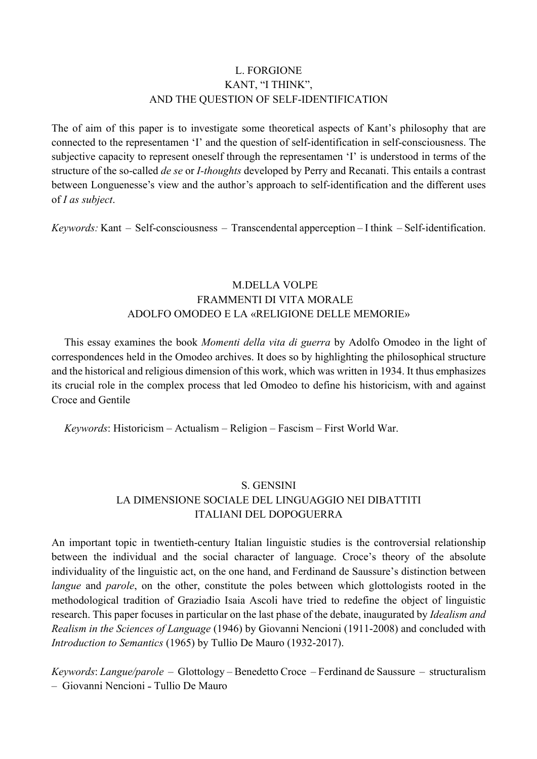## L. FORGIONE KANT, "I THINK", AND THE QUESTION OF SELF-IDENTIFICATION

The of aim of this paper is to investigate some theoretical aspects of Kant's philosophy that are connected to the representamen 'I' and the question of self-identification in self-consciousness. The subjective capacity to represent oneself through the representamen 'I' is understood in terms of the structure of the so-called *de se* or *I-thoughts* developed by Perry and Recanati. This entails a contrast between Longuenesse's view and the author's approach to self-identification and the different uses of *I as subject*.

*Keywords:* Kant – Self-consciousness – Transcendental apperception – I think – Self-identification.

# M.DELLA VOLPE FRAMMENTI DI VITA MORALE ADOLFO OMODEO E LA «RELIGIONE DELLE MEMORIE»

This essay examines the book *Momenti della vita di guerra* by Adolfo Omodeo in the light of correspondences held in the Omodeo archives. It does so by highlighting the philosophical structure and the historical and religious dimension of this work, which was written in 1934. It thus emphasizes its crucial role in the complex process that led Omodeo to define his historicism, with and against Croce and Gentile

*Keywords*: Historicism ‒ Actualism ‒ Religion ‒ Fascism ‒ First World War.

# S. GENSINI LA DIMENSIONE SOCIALE DEL LINGUAGGIO NEI DIBATTITI ITALIANI DEL DOPOGUERRA

An important topic in twentieth-century Italian linguistic studies is the controversial relationship between the individual and the social character of language. Croce's theory of the absolute individuality of the linguistic act, on the one hand, and Ferdinand de Saussure's distinction between *langue* and *parole*, on the other, constitute the poles between which glottologists rooted in the methodological tradition of Graziadio Isaia Ascoli have tried to redefine the object of linguistic research. This paper focuses in particular on the last phase of the debate, inaugurated by *Idealism and Realism in the Sciences of Language* (1946) by Giovanni Nencioni (1911-2008) and concluded with *Introduction to Semantics* (1965) by Tullio De Mauro (1932-2017).

*Keywords*: *Langue/parole* – Glottology – Benedetto Croce – Ferdinand de Saussure – structuralism – Giovanni Nencioni ˗ Tullio De Mauro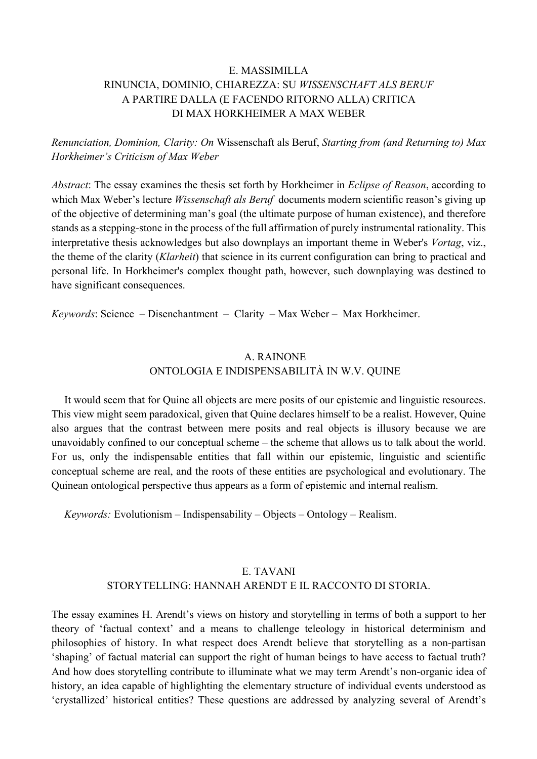## E. MASSIMILLA RINUNCIA, DOMINIO, CHIAREZZA: SU *WISSENSCHAFT ALS BERUF* A PARTIRE DALLA (E FACENDO RITORNO ALLA) CRITICA DI MAX HORKHEIMER A MAX WEBER

*Renunciation, Dominion, Clarity: On* Wissenschaft als Beruf, *Starting from (and Returning to) Max Horkheimer's Criticism of Max Weber*

*Abstract*: The essay examines the thesis set forth by Horkheimer in *Eclipse of Reason*, according to which Max Weber's lecture *Wissenschaft als Beruf* documents modern scientific reason's giving up of the objective of determining man's goal (the ultimate purpose of human existence), and therefore stands as a stepping-stone in the process of the full affirmation of purely instrumental rationality. This interpretative thesis acknowledges but also downplays an important theme in Weber's *Vortag*, viz., the theme of the clarity (*Klarheit*) that science in its current configuration can bring to practical and personal life. In Horkheimer's complex thought path, however, such downplaying was destined to have significant consequences.

*Keywords*: Science – Disenchantment – Clarity – Max Weber – Max Horkheimer.

## A. RAINONE ONTOLOGIA E INDISPENSABILITÀ IN W.V. QUINE

It would seem that for Quine all objects are mere posits of our epistemic and linguistic resources. This view might seem paradoxical, given that Quine declares himself to be a realist. However, Quine also argues that the contrast between mere posits and real objects is illusory because we are unavoidably confined to our conceptual scheme – the scheme that allows us to talk about the world. For us, only the indispensable entities that fall within our epistemic, linguistic and scientific conceptual scheme are real, and the roots of these entities are psychological and evolutionary. The Quinean ontological perspective thus appears as a form of epistemic and internal realism.

*Keywords:* Evolutionism – Indispensability – Objects – Ontology – Realism.

## E. TAVANI STORYTELLING: HANNAH ARENDT E IL RACCONTO DI STORIA.

The essay examines H. Arendt's views on history and storytelling in terms of both a support to her theory of 'factual context' and a means to challenge teleology in historical determinism and philosophies of history. In what respect does Arendt believe that storytelling as a non-partisan 'shaping' of factual material can support the right of human beings to have access to factual truth? And how does storytelling contribute to illuminate what we may term Arendt's non-organic idea of history, an idea capable of highlighting the elementary structure of individual events understood as 'crystallized' historical entities? These questions are addressed by analyzing several of Arendt's